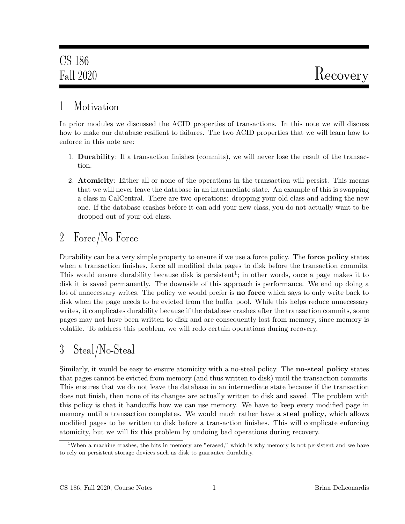### 1 Motivation

In prior modules we discussed the ACID properties of transactions. In this note we will discuss how to make our database resilient to failures. The two ACID properties that we will learn how to enforce in this note are:

- 1. Durability: If a transaction finishes (commits), we will never lose the result of the transaction.
- 2. Atomicity: Either all or none of the operations in the transaction will persist. This means that we will never leave the database in an intermediate state. An example of this is swapping a class in CalCentral. There are two operations: dropping your old class and adding the new one. If the database crashes before it can add your new class, you do not actually want to be dropped out of your old class.

## 2 Force/No Force

Durability can be a very simple property to ensure if we use a force policy. The **force policy** states when a transaction finishes, force all modified data pages to disk before the transaction commits. This would ensure durability because disk is persistent<sup>1</sup>; in other words, once a page makes it to disk it is saved permanently. The downside of this approach is performance. We end up doing a lot of unnecessary writes. The policy we would prefer is **no force** which says to only write back to disk when the page needs to be evicted from the buffer pool. While this helps reduce unnecessary writes, it complicates durability because if the database crashes after the transaction commits, some pages may not have been written to disk and are consequently lost from memory, since memory is volatile. To address this problem, we will redo certain operations during recovery.

## 3 Steal/No-Steal

Similarly, it would be easy to ensure atomicity with a no-steal policy. The **no-steal policy** states that pages cannot be evicted from memory (and thus written to disk) until the transaction commits. This ensures that we do not leave the database in an intermediate state because if the transaction does not finish, then none of its changes are actually written to disk and saved. The problem with this policy is that it handcuffs how we can use memory. We have to keep every modified page in memory until a transaction completes. We would much rather have a **steal policy**, which allows modified pages to be written to disk before a transaction finishes. This will complicate enforcing atomicity, but we will fix this problem by undoing bad operations during recovery.

<sup>&</sup>lt;sup>1</sup>When a machine crashes, the bits in memory are "erased," which is why memory is not persistent and we have to rely on persistent storage devices such as disk to guarantee durability.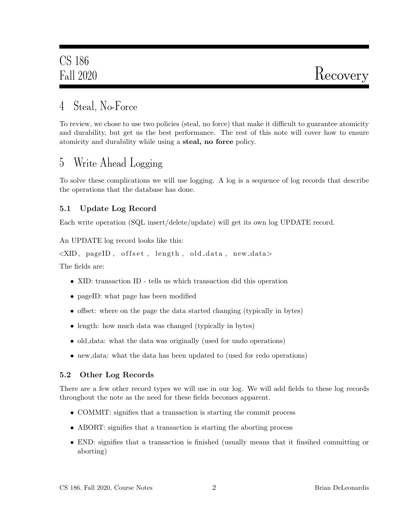### 4 Steal, No-Force

To review, we chose to use two policies (steal, no force) that make it difficult to guarantee atomicity and durability, but get us the best performance. The rest of this note will cover how to ensure atomicity and durability while using a steal, no force policy.

### 5 Write Ahead Logging

To solve these complications we will use logging. A log is a sequence of log records that describe the operations that the database has done.

### 5.1 Update Log Record

Each write operation (SQL insert/delete/update) will get its own log UPDATE record.

An UPDATE log record looks like this:

```
\langleXID, pageID, offset, length, old_data, new_data>
```
The fields are:

- XID: transaction ID tells us which transaction did this operation
- pageID: what page has been modified
- offset: where on the page the data started changing (typically in bytes)
- length: how much data was changed (typically in bytes)
- old data: what the data was originally (used for undo operations)
- new data: what the data has been updated to (used for redo operations)

### 5.2 Other Log Records

There are a few other record types we will use in our log. We will add fields to these log records throughout the note as the need for these fields becomes apparent.

- COMMIT: signifies that a transaction is starting the commit process
- ABORT: signifies that a transaction is starting the aborting process
- END: signifies that a transaction is finished (usually means that it finsihed committing or aborting)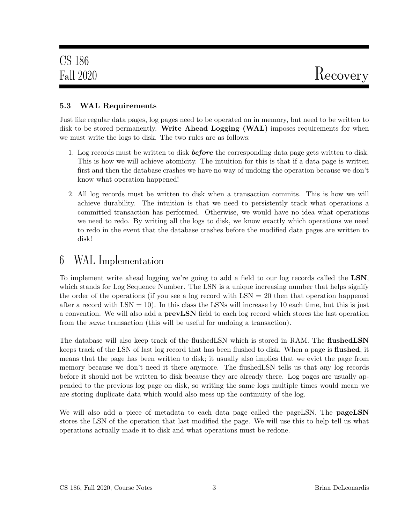#### 5.3 WAL Requirements

Just like regular data pages, log pages need to be operated on in memory, but need to be written to disk to be stored permanently. Write Ahead Logging (WAL) imposes requirements for when we must write the logs to disk. The two rules are as follows:

- 1. Log records must be written to disk **before** the corresponding data page gets written to disk. This is how we will achieve atomicity. The intuition for this is that if a data page is written first and then the database crashes we have no way of undoing the operation because we don't know what operation happened!
- 2. All log records must be written to disk when a transaction commits. This is how we will achieve durability. The intuition is that we need to persistently track what operations a committed transaction has performed. Otherwise, we would have no idea what operations we need to redo. By writing all the logs to disk, we know exactly which operations we need to redo in the event that the database crashes before the modified data pages are written to disk!

### 6 WAL Implementation

To implement write ahead logging we're going to add a field to our log records called the LSN, which stands for Log Sequence Number. The LSN is a unique increasing number that helps signify the order of the operations (if you see a log record with  $LSN = 20$  then that operation happened after a record with  $LSN = 10$ ). In this class the LSNs will increase by 10 each time, but this is just a convention. We will also add a **prevLSN** field to each log record which stores the last operation from the same transaction (this will be useful for undoing a transaction).

The database will also keep track of the flushedLSN which is stored in RAM. The flushedLSN keeps track of the LSN of last log record that has been flushed to disk. When a page is **flushed**, it means that the page has been written to disk; it usually also implies that we evict the page from memory because we don't need it there anymore. The flushedLSN tells us that any log records before it should not be written to disk because they are already there. Log pages are usually appended to the previous log page on disk, so writing the same logs multiple times would mean we are storing duplicate data which would also mess up the continuity of the log.

We will also add a piece of metadata to each data page called the pageLSN. The **pageLSN** stores the LSN of the operation that last modified the page. We will use this to help tell us what operations actually made it to disk and what operations must be redone.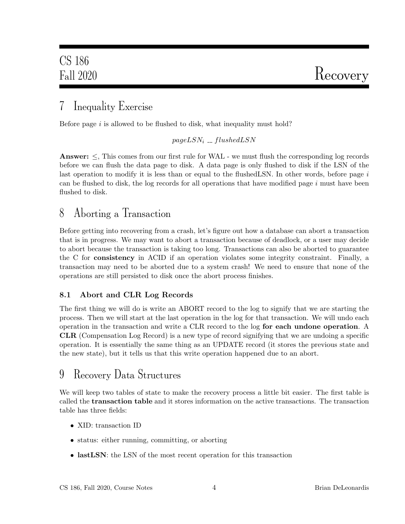### 7 Inequality Exercise

Before page  $i$  is allowed to be flushed to disk, what inequality must hold?

#### $pageLSN_i = fluxhedLSN$

**Answer:**  $\leq$ , This comes from our first rule for WAL - we must flush the corresponding log records before we can flush the data page to disk. A data page is only flushed to disk if the LSN of the last operation to modify it is less than or equal to the flushed LSN. In other words, before page i can be flushed to disk, the log records for all operations that have modified page  $i$  must have been flushed to disk.

### 8 Aborting a Transaction

Before getting into recovering from a crash, let's figure out how a database can abort a transaction that is in progress. We may want to abort a transaction because of deadlock, or a user may decide to abort because the transaction is taking too long. Transactions can also be aborted to guarantee the C for consistency in ACID if an operation violates some integrity constraint. Finally, a transaction may need to be aborted due to a system crash! We need to ensure that none of the operations are still persisted to disk once the abort process finishes.

### 8.1 Abort and CLR Log Records

The first thing we will do is write an ABORT record to the log to signify that we are starting the process. Then we will start at the last operation in the log for that transaction. We will undo each operation in the transaction and write a CLR record to the log for each undone operation. A CLR (Compensation Log Record) is a new type of record signifying that we are undoing a specific operation. It is essentially the same thing as an UPDATE record (it stores the previous state and the new state), but it tells us that this write operation happened due to an abort.

### 9 Recovery Data Structures

We will keep two tables of state to make the recovery process a little bit easier. The first table is called the transaction table and it stores information on the active transactions. The transaction table has three fields:

- XID: transaction ID
- status: either running, committing, or aborting
- lastLSN: the LSN of the most recent operation for this transaction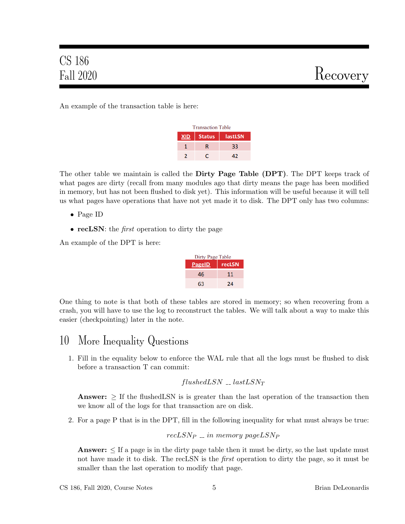An example of the transaction table is here:

| <b>Transaction Table</b> |                          |    |  |  |
|--------------------------|--------------------------|----|--|--|
| <b>XID</b>               | <b>Status</b><br>lastLSN |    |  |  |
|                          | R                        | 33 |  |  |
|                          |                          | 47 |  |  |

The other table we maintain is called the **Dirty Page Table (DPT)**. The DPT keeps track of what pages are dirty (recall from many modules ago that dirty means the page has been modified in memory, but has not been flushed to disk yet). This information will be useful because it will tell us what pages have operations that have not yet made it to disk. The DPT only has two columns:

- Page ID
- recLSN: the *first* operation to dirty the page

An example of the DPT is here:

| Dirty Page Table |        |
|------------------|--------|
| <b>PageID</b>    | recLSN |
| 46               | 11     |
| 63               | 24     |

One thing to note is that both of these tables are stored in memory; so when recovering from a crash, you will have to use the log to reconstruct the tables. We will talk about a way to make this easier (checkpointing) later in the note.

### 10 More Inequality Questions

1. Fill in the equality below to enforce the WAL rule that all the logs must be flushed to disk before a transaction T can commit:

$$
flushed LSN \; \_ \; last LSN_T
$$

**Answer:**  $\geq$  If the flushedLSN is is greater than the last operation of the transaction then we know all of the logs for that transaction are on disk.

2. For a page P that is in the DPT, fill in the following inequality for what must always be true:

```
recLSN_P = in memory pageLSN<sub>P</sub>
```
**Answer:**  $\leq$  If a page is in the dirty page table then it must be dirty, so the last update must not have made it to disk. The recLSN is the *first* operation to dirty the page, so it must be smaller than the last operation to modify that page.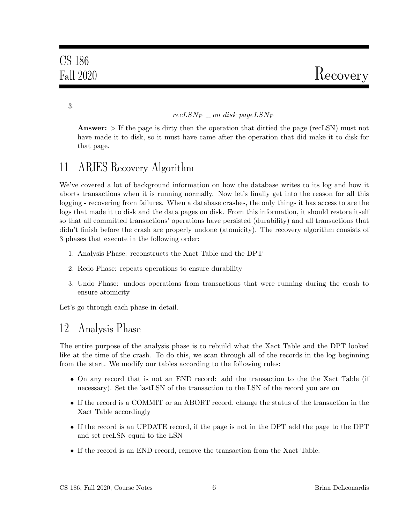3.

#### $recLSN_P = on$  disk pageLSN<sub>P</sub>

**Answer:**  $>$  If the page is dirty then the operation that dirtied the page (recLSN) must not have made it to disk, so it must have came after the operation that did make it to disk for that page.

### 11 ARIES Recovery Algorithm

We've covered a lot of background information on how the database writes to its log and how it aborts transactions when it is running normally. Now let's finally get into the reason for all this logging - recovering from failures. When a database crashes, the only things it has access to are the logs that made it to disk and the data pages on disk. From this information, it should restore itself so that all committed transactions' operations have persisted (durability) and all transactions that didn't finish before the crash are properly undone (atomicity). The recovery algorithm consists of 3 phases that execute in the following order:

- 1. Analysis Phase: reconstructs the Xact Table and the DPT
- 2. Redo Phase: repeats operations to ensure durability
- 3. Undo Phase: undoes operations from transactions that were running during the crash to ensure atomicity

Let's go through each phase in detail.

### 12 Analysis Phase

The entire purpose of the analysis phase is to rebuild what the Xact Table and the DPT looked like at the time of the crash. To do this, we scan through all of the records in the log beginning from the start. We modify our tables according to the following rules:

- On any record that is not an END record: add the transaction to the the Xact Table (if necessary). Set the lastLSN of the transaction to the LSN of the record you are on
- If the record is a COMMIT or an ABORT record, change the status of the transaction in the Xact Table accordingly
- If the record is an UPDATE record, if the page is not in the DPT add the page to the DPT and set recLSN equal to the LSN
- If the record is an END record, remove the transaction from the Xact Table.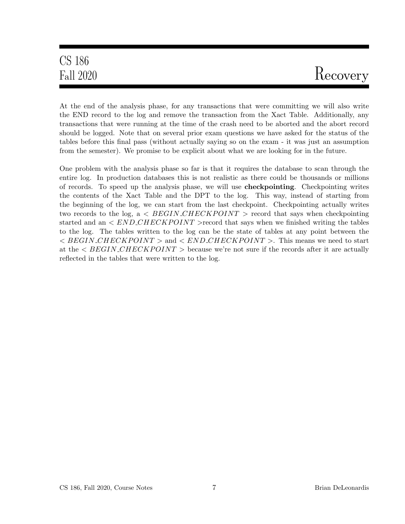# CS 186

# Fall 2020 Recovery

At the end of the analysis phase, for any transactions that were committing we will also write the END record to the log and remove the transaction from the Xact Table. Additionally, any transactions that were running at the time of the crash need to be aborted and the abort record should be logged. Note that on several prior exam questions we have asked for the status of the tables before this final pass (without actually saying so on the exam - it was just an assumption from the semester). We promise to be explicit about what we are looking for in the future.

One problem with the analysis phase so far is that it requires the database to scan through the entire log. In production databases this is not realistic as there could be thousands or millions of records. To speed up the analysis phase, we will use checkpointing. Checkpointing writes the contents of the Xact Table and the DPT to the log. This way, instead of starting from the beginning of the log, we can start from the last checkpoint. Checkpointing actually writes two records to the log, a  $\langle$  BEGIN\_CHECKPOINT  $\rangle$  record that says when checkpointing started and an  $\langle END\_CHECKPONT\rangle$  record that says when we finished writing the tables to the log. The tables written to the log can be the state of tables at any point between the  $\langle$  BEGIN\_CHECKPOINT  $>$  and  $\langle$  END\_CHECKPOINT  $>$ . This means we need to start at the  $\langle BEGIN\_CHECKPOINT \rangle$  because we're not sure if the records after it are actually reflected in the tables that were written to the log.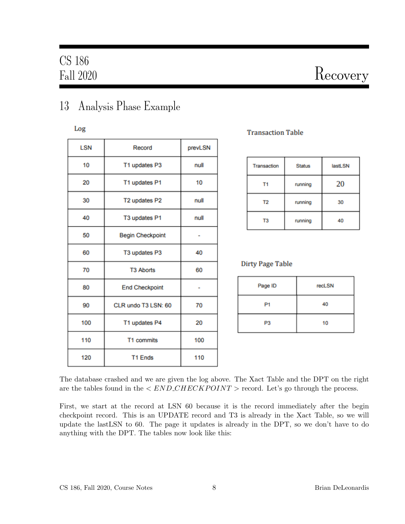# Fall 2020 Recovery

### 13 Analysis Phase Example

Log

| <b>LSN</b> | Record                  | prevLSN |
|------------|-------------------------|---------|
| 10         | T1 updates P3           | null    |
| 20         | T1 updates P1           | 10      |
| 30         | T2 updates P2           | null    |
| 40         | T3 updates P1           | null    |
| 50         | <b>Begin Checkpoint</b> |         |
| 60         | T3 updates P3           | 40      |
| 70         | <b>T3 Aborts</b>        | 60      |
| 80         | <b>End Checkpoint</b>   |         |
| 90         | CLR undo T3 LSN: 60     | 70      |
| 100        | T1 updates P4           | 20      |
| 110        | T1 commits              | 100     |
| 120        | <b>T1 Ends</b>          | 110     |

### **Transaction Table**

| Transaction    | <b>Status</b> | <b>lastLSN</b> |
|----------------|---------------|----------------|
| T1             | running       | 20             |
| T <sub>2</sub> | running       | 30             |
| T3             | running       | 40             |

#### **Dirty Page Table**

| Page ID        | recLSN |
|----------------|--------|
| P <sub>1</sub> | 40     |
| P <sub>3</sub> | 10     |

The database crashed and we are given the log above. The Xact Table and the DPT on the right are the tables found in the  $\langle END\_CHECKPOINT\rangle$  record. Let's go through the process.

First, we start at the record at LSN 60 because it is the record immediately after the begin checkpoint record. This is an UPDATE record and T3 is already in the Xact Table, so we will update the lastLSN to 60. The page it updates is already in the DPT, so we don't have to do anything with the DPT. The tables now look like this: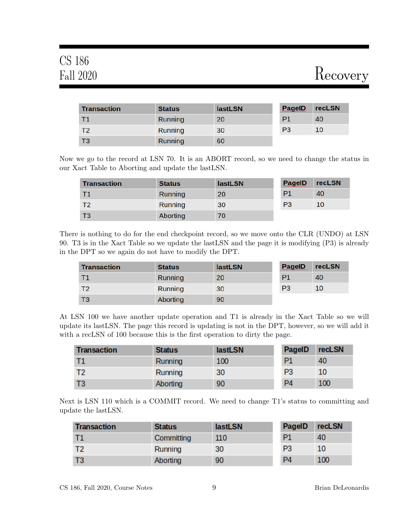# CS 186

# Fall 2020 Recovery

| <b>Transaction</b> | <b>Status</b> | <b>lastLSN</b> | <b>PageID</b>  | recLSN |
|--------------------|---------------|----------------|----------------|--------|
| - T1               | Running       | 20             | P <sub>1</sub> | 40     |
| <b>T2</b>          | Running       | 30             | P <sub>3</sub> | 10     |
| - ТЗ               | Running       | 60             |                |        |

Now we go to the record at LSN 70. It is an ABORT record, so we need to change the status in our Xact Table to Aborting and update the lastLSN.

| <b>Transaction</b> | <b>Status</b>  | <b>lastLSN</b> | <b>PageID</b>  | <b>recLSN</b> |
|--------------------|----------------|----------------|----------------|---------------|
| Τ1                 | Running        | 20             | P <sub>1</sub> | 40            |
| T2                 | <b>Running</b> | 30             | P <sub>3</sub> | <b>10</b>     |
| T <sub>3</sub>     | Aborting       | 70             |                |               |

There is nothing to do for the end checkpoint record, so we move onto the CLR (UNDO) at LSN 90. T3 is in the Xact Table so we update the lastLSN and the page it is modifying (P3) is already in the DPT so we again do not have to modify the DPT.

| <b>Transaction</b> | <b>Status</b> | <b>lastLSN</b> | <b>PagelD</b>  | <b>recLSN</b> |
|--------------------|---------------|----------------|----------------|---------------|
| Τ1                 | Running       | 20             | P1             | 40            |
|                    | Running       | 30             | P <sub>3</sub> | <b>10</b>     |
| T3                 | Aborting      | 90             |                |               |

At LSN 100 we have another update operation and T1 is already in the Xact Table so we will update its lastLSN. The page this record is updating is not in the DPT, however, so we will add it with a recLSN of 100 because this is the first operation to dirty the page.

| <b>Transaction</b> | <b>Status</b>  | <b>lastLSN</b> | PageID         | recLSN |
|--------------------|----------------|----------------|----------------|--------|
|                    | <b>Running</b> | 100            | <b>P1</b>      | 40     |
| T <sub>2</sub>     | Running        | 30             | P <sub>3</sub> | 10     |
| ТЗ                 | Aborting       | 90             | P4             | 100    |

Next is LSN 110 which is a COMMIT record. We need to change T1's status to committing and update the lastLSN.

| <b>Transaction</b> | <b>Status</b> | <b>lastLSN</b> | PageID         | recLSN |
|--------------------|---------------|----------------|----------------|--------|
| -T1                | Committing    | 110            | <b>P1</b>      | 40     |
|                    | Running       | 30             | P <sub>3</sub> | 10     |
| T3                 | Aborting      | 90             | P <sub>4</sub> | 100    |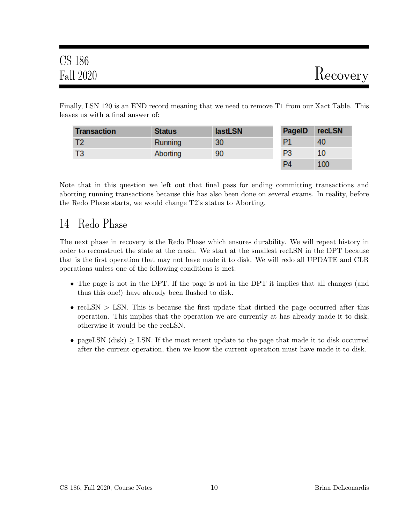| <b>CS 186</b> |          |
|---------------|----------|
| Fall 2020     | Recovery |

Finally, LSN 120 is an END record meaning that we need to remove T1 from our Xact Table. This leaves us with a final answer of:

| <b>Transaction</b> | <b>Status</b> | <b>lastLSN</b> | PageID         | recLSN |
|--------------------|---------------|----------------|----------------|--------|
|                    | Running       | 30             | <b>P1</b>      | 40     |
|                    | Aborting      | 90             | P <sub>3</sub> | 10     |
|                    |               |                | PД             | 100    |

Note that in this question we left out that final pass for ending committing transactions and aborting running transactions because this has also been done on several exams. In reality, before the Redo Phase starts, we would change T2's status to Aborting.

### 14 Redo Phase

The next phase in recovery is the Redo Phase which ensures durability. We will repeat history in order to reconstruct the state at the crash. We start at the smallest recLSN in the DPT because that is the first operation that may not have made it to disk. We will redo all UPDATE and CLR operations unless one of the following conditions is met:

- The page is not in the DPT. If the page is not in the DPT it implies that all changes (and thus this one!) have already been flushed to disk.
- recLSN  $>$  LSN. This is because the first update that dirtied the page occurred after this operation. This implies that the operation we are currently at has already made it to disk, otherwise it would be the recLSN.
- pageLSN (disk)  $\geq$  LSN. If the most recent update to the page that made it to disk occurred after the current operation, then we know the current operation must have made it to disk.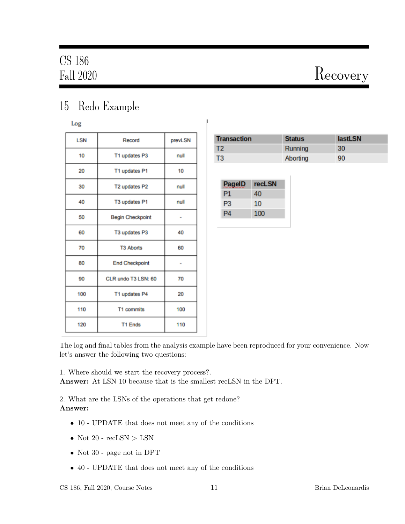# Fall 2020 Recovery

### 15 Redo Example

Log

| <b>LSN</b> | Record                  | prevLSN |
|------------|-------------------------|---------|
| 10         | T1 updates P3           | null    |
| 20         | T1 updates P1           | 10      |
| 30         | T2 updates P2           | null    |
| 40         | T3 updates P1           | null    |
| 50         | <b>Begin Checkpoint</b> |         |
| 60         | T3 updates P3           | 40      |
| 70         | <b>T3 Aborts</b>        | 60      |
| 80         | <b>End Checkpoint</b>   | ٠       |
| 90         | CLR undo T3 LSN: 60     | 70      |
| 100        | T1 updates P4           | 20      |
| 110        | T1 commits              | 100     |
| 120        | <b>T1 Ends</b>          | 110     |

| <b>Transaction</b> | <b>Status</b> | <b>lastLSN</b> |
|--------------------|---------------|----------------|
| T2                 | Running       | 30             |
| ΓЗ                 | Aborting      | 90             |

| <b>PagelD</b> | recLSN |
|---------------|--------|
| P1            | 40     |
| P3            | 10     |
| Ρ4            | 100    |

The log and final tables from the analysis example have been reproduced for your convenience. Now let's answer the following two questions:

1. Where should we start the recovery process?.

Answer: At LSN 10 because that is the smallest recLSN in the DPT.

2. What are the LSNs of the operations that get redone? Answer:

- 10 UPDATE that does not meet any of the conditions
- Not 20  $recLSN > LSN$
- Not 30 page not in DPT
- 40 UPDATE that does not meet any of the conditions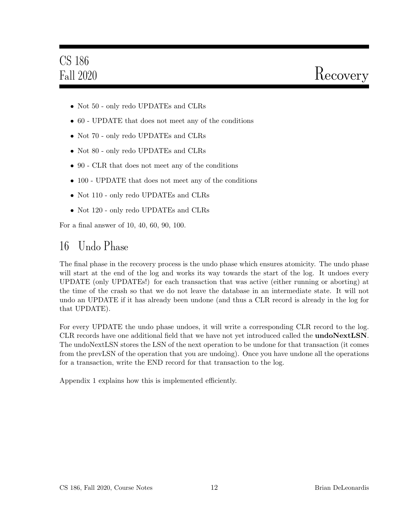# CS 186

- Not 50 only redo UPDATEs and CLRs
- 60 UPDATE that does not meet any of the conditions
- Not 70 only redo UPDATEs and CLRs
- Not 80 only redo UPDATEs and CLRs
- 90 CLR that does not meet any of the conditions
- 100 UPDATE that does not meet any of the conditions
- Not 110 only redo UPDATEs and CLRs
- Not 120 only redo UPDATEs and CLRs

For a final answer of 10, 40, 60, 90, 100.

### 16 Undo Phase

The final phase in the recovery process is the undo phase which ensures atomicity. The undo phase will start at the end of the log and works its way towards the start of the log. It undoes every UPDATE (only UPDATEs!) for each transaction that was active (either running or aborting) at the time of the crash so that we do not leave the database in an intermediate state. It will not undo an UPDATE if it has already been undone (and thus a CLR record is already in the log for that UPDATE).

For every UPDATE the undo phase undoes, it will write a corresponding CLR record to the log. CLR records have one additional field that we have not yet introduced called the **undoNextLSN**. The undoNextLSN stores the LSN of the next operation to be undone for that transaction (it comes from the prevLSN of the operation that you are undoing). Once you have undone all the operations for a transaction, write the END record for that transaction to the log.

Appendix 1 explains how this is implemented efficiently.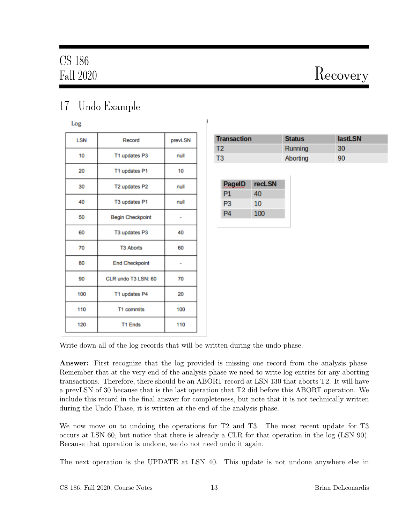# Fall 2020 Recovery

## 17 Undo Example

Log

| <b>LSN</b> | Record                  | prevLSN |
|------------|-------------------------|---------|
| 10         | T1 updates P3           | null    |
| 20         | T1 updates P1           | 10      |
| 30         | T2 updates P2           | null    |
| 40         | T3 updates P1           | null    |
| 50         | <b>Begin Checkpoint</b> |         |
| 60         | T3 updates P3           | 40      |
| 70         | <b>T3 Aborts</b>        | 60      |
| 80         | <b>End Checkpoint</b>   |         |
| 90         | CLR undo T3 LSN: 60     | 70      |
| 100        | T1 updates P4           | 20      |
| 110        | T1 commits              | 100     |
| 120        | <b>T1 Ends</b>          | 110     |

| <b>Transaction</b> | <b>Status</b> | <b>lastLSN</b> |
|--------------------|---------------|----------------|
| Т2                 | Running       | 30             |
| TЗ                 | Aborting      | 90             |

| <b>PagelD</b> | <b>recLSN</b> |
|---------------|---------------|
| P1            | 40            |
| P3            | 10            |
|               | 100           |

Write down all of the log records that will be written during the undo phase.

Answer: First recognize that the log provided is missing one record from the analysis phase. Remember that at the very end of the analysis phase we need to write log entries for any aborting transactions. Therefore, there should be an ABORT record at LSN 130 that aborts T2. It will have a prevLSN of 30 because that is the last operation that T2 did before this ABORT operation. We include this record in the final answer for completeness, but note that it is not technically written during the Undo Phase, it is written at the end of the analysis phase.

We now move on to undoing the operations for T2 and T3. The most recent update for T3 occurs at LSN 60, but notice that there is already a CLR for that operation in the log (LSN 90). Because that operation is undone, we do not need undo it again.

The next operation is the UPDATE at LSN 40. This update is not undone anywhere else in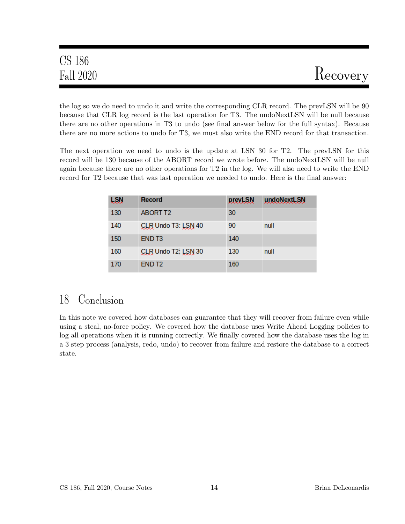| <b>CS 186</b> |          |
|---------------|----------|
| Fall 2020     | Recovery |

the log so we do need to undo it and write the corresponding CLR record. The prevLSN will be 90 because that CLR log record is the last operation for T3. The undoNextLSN will be null because there are no other operations in T3 to undo (see final answer below for the full syntax). Because there are no more actions to undo for T3, we must also write the END record for that transaction.

The next operation we need to undo is the update at LSN 30 for T2. The prevLSN for this record will be 130 because of the ABORT record we wrote before. The undoNextLSN will be null again because there are no other operations for T2 in the log. We will also need to write the END record for T2 because that was last operation we needed to undo. Here is the final answer:

| <b>LSN</b> | <b>Record</b>       | prevLSN | undoNextLSN |
|------------|---------------------|---------|-------------|
| 130        | <b>ABORT T2</b>     | 30      |             |
| 140        | CLR Undo T3: LSN 40 | 90      | null        |
| 150        | END <sub>T3</sub>   | 140     |             |
| 160        | CLR Undo T2: LSN 30 | 130     | null        |
| 170        | END <sub>T2</sub>   | 160     |             |

### 18 Conclusion

In this note we covered how databases can guarantee that they will recover from failure even while using a steal, no-force policy. We covered how the database uses Write Ahead Logging policies to log all operations when it is running correctly. We finally covered how the database uses the log in a 3 step process (analysis, redo, undo) to recover from failure and restore the database to a correct state.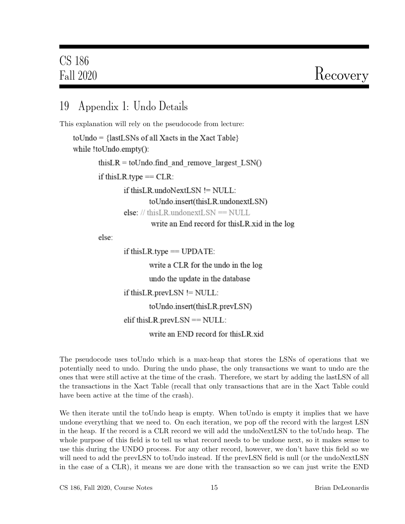### 19 Appendix 1: Undo Details

This explanation will rely on the pseudocode from lecture:

 $to$   $\text{Undo} = \{lastLSNs \text{ of all Xacts in the Xact Table}\}$ while !toUndo.empty():

this  $LR = \text{tolndo}$  find and remove largest  $LSN()$ 

if this LR type  $=$  CLR:

if this LR undo Next LSN != NULL: toUndo.insert(thisLR.undonextLSN) else: // thisLR.undonextLSN =  $\text{NULL}$ write an End record for this LR xid in the log

else:

if this LR type  $==$  UPDATE: write a CLR for the undo in the log undo the update in the database if this LR prevLSN  $!=$  NULL: toUndo.insert(thisLR.prevLSN) elif this LR prevLSN  $==$  NULL: write an END record for this LR xid

The pseudocode uses toUndo which is a max-heap that stores the LSNs of operations that we potentially need to undo. During the undo phase, the only transactions we want to undo are the ones that were still active at the time of the crash. Therefore, we start by adding the lastLSN of all the transactions in the Xact Table (recall that only transactions that are in the Xact Table could have been active at the time of the crash).

We then iterate until the toUndo heap is empty. When toUndo is empty it implies that we have undone everything that we need to. On each iteration, we pop off the record with the largest LSN in the heap. If the record is a CLR record we will add the undoNextLSN to the toUndo heap. The whole purpose of this field is to tell us what record needs to be undone next, so it makes sense to use this during the UNDO process. For any other record, however, we don't have this field so we will need to add the prevLSN to toUndo instead. If the prevLSN field is null (or the undoNextLSN in the case of a CLR), it means we are done with the transaction so we can just write the END